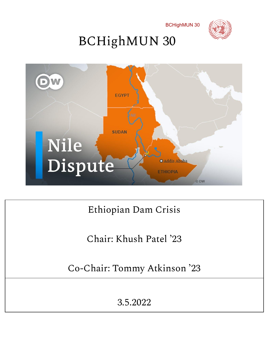





## Ethiopian Dam Crisis

Chair: Khush Patel '23

Co-Chair: Tommy Atkinson '23

3.5.2022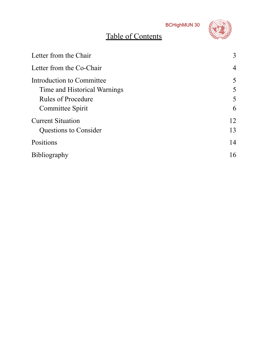## Table of Contents



| Letter from the Chair        | 3              |
|------------------------------|----------------|
| Letter from the Co-Chair     | $\overline{4}$ |
| Introduction to Committee    | 5              |
| Time and Historical Warnings | 5              |
| <b>Rules of Procedure</b>    | 5              |
| Committee Spirit             | 6              |
| <b>Current Situation</b>     | 12             |
| <b>Questions to Consider</b> | 13             |
| Positions                    | 14             |
| Bibliography                 | 16             |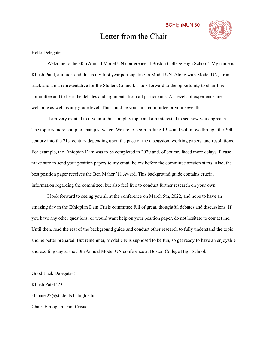### Letter from the Chair



<span id="page-2-0"></span>Hello Delegates,

Welcome to the 30th Annual Model UN conference at Boston College High School! My name is Khush Patel, a junior, and this is my first year participating in Model UN. Along with Model UN, I run track and am a representative for the Student Council. I look forward to the opportunity to chair this committee and to hear the debates and arguments from all participants. All levels of experience are welcome as well as any grade level. This could be your first committee or your seventh.

I am very excited to dive into this complex topic and am interested to see how you approach it. The topic is more complex than just water. We are to begin in June 1914 and will move through the 20th century into the 21st century depending upon the pace of the discussion, working papers, and resolutions. For example, the Ethiopian Dam was to be completed in 2020 and, of course, faced more delays. Please make sure to send your position papers to my email below before the committee session starts. Also, the best position paper receives the Ben Maher '11 Award. This background guide contains crucial information regarding the committee, but also feel free to conduct further research on your own.

I look forward to seeing you all at the conference on March 5th, 2022, and hope to have an amazing day in the Ethiopian Dam Crisis committee full of great, thoughtful debates and discussions. If you have any other questions, or would want help on your position paper, do not hesitate to contact me. Until then, read the rest of the background guide and conduct other research to fully understand the topic and be better prepared. But remember, Model UN is supposed to be fun, so get ready to have an enjoyable and exciting day at the 30th Annual Model UN conference at Boston College High School.

Good Luck Delegates! Khush Patel '23 kb.patel23@students.bchigh.edu Chair, Ethiopian Dam Crisis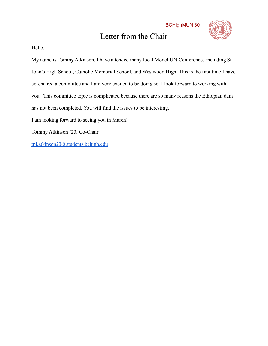## Letter from the Chair



Hello,

<span id="page-3-0"></span>My name is Tommy Atkinson. I have attended many local Model UN Conferences including St. John's High School, Catholic Memorial School, and Westwood High. This is the first time I have co-chaired a committee and I am very excited to be doing so. I look forward to working with you. This committee topic is complicated because there are so many reasons the Ethiopian dam has not been completed. You will find the issues to be interesting. I am looking forward to seeing you in March! Tommy Atkinson '23, Co-Chair [tpj.atkinson23@students.bchigh.edu](mailto:tpj.atkinson23@students.bchigh.edu)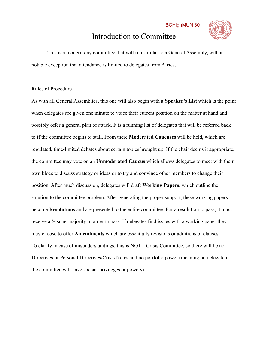## Introduction to Committee



This is a modern-day committee that will run similar to a General Assembly, with a notable exception that attendance is limited to delegates from Africa.

#### <span id="page-4-0"></span>Rules of Procedure

As with all General Assemblies, this one will also begin with a **Speaker's List** which is the point when delegates are given one minute to voice their current position on the matter at hand and possibly offer a general plan of attack. It is a running list of delegates that will be referred back to if the committee begins to stall. From there **Moderated Caucuses** will be held, which are regulated, time-limited debates about certain topics brought up. If the chair deems it appropriate, the committee may vote on an **Unmoderated Caucus** which allows delegates to meet with their own blocs to discuss strategy or ideas or to try and convince other members to change their position. After much discussion, delegates will draft **Working Papers**, which outline the solution to the committee problem. After generating the proper support, these working papers become **Resolutions** and are presented to the entire committee. For a resolution to pass, it must receive a ⅔ supermajority in order to pass. If delegates find issues with a working paper they may choose to offer **Amendments** which are essentially revisions or additions of clauses. To clarify in case of misunderstandings, this is NOT a Crisis Committee, so there will be no Directives or Personal Directives/Crisis Notes and no portfolio power (meaning no delegate in the committee will have special privileges or powers).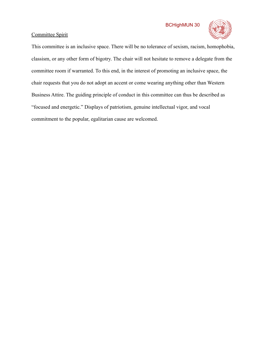

#### <span id="page-5-0"></span>Committee Spirit

This committee is an inclusive space. There will be no tolerance of sexism, racism, homophobia, classism, or any other form of bigotry. The chair will not hesitate to remove a delegate from the committee room if warranted. To this end, in the interest of promoting an inclusive space, the chair requests that you do not adopt an accent or come wearing anything other than Western Business Attire. The guiding principle of conduct in this committee can thus be described as "focused and energetic." Displays of patriotism, genuine intellectual vigor, and vocal commitment to the popular, egalitarian cause are welcomed.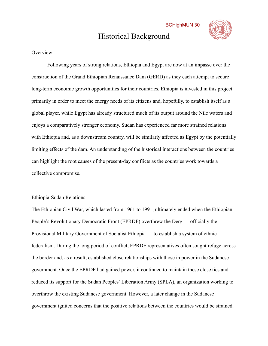## Historical Background



#### **Overview**

Following years of strong relations, Ethiopia and Egypt are now at an impasse over the construction of the Grand Ethiopian Renaissance Dam (GERD) as they each attempt to secure long-term economic growth opportunities for their countries. Ethiopia is invested in this project primarily in order to meet the energy needs of its citizens and, hopefully, to establish itself as a global player, while Egypt has already structured much of its output around the Nile waters and enjoys a comparatively stronger economy. Sudan has experienced far more strained relations with Ethiopia and, as a downstream country, will be similarly affected as Egypt by the potentially limiting effects of the dam. An understanding of the historical interactions between the countries can highlight the root causes of the present-day conflicts as the countries work towards a collective compromise.

#### Ethiopia-Sudan Relations

The Ethiopian Civil War, which lasted from 1961 to 1991, ultimately ended when the Ethiopian People's Revolutionary Democratic Front (EPRDF) overthrew the Derg — officially the Provisional Military Government of Socialist Ethiopia — to establish a system of ethnic federalism. During the long period of conflict, EPRDF representatives often sought refuge across the border and, as a result, established close relationships with those in power in the Sudanese government. Once the EPRDF had gained power, it continued to maintain these close ties and reduced its support for the Sudan Peoples' Liberation Army (SPLA), an organization working to overthrow the existing Sudanese government. However, a later change in the Sudanese government ignited concerns that the positive relations between the countries would be strained.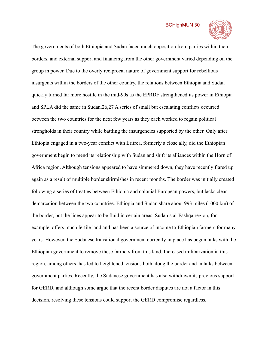

The governments of both Ethiopia and Sudan faced much opposition from parties within their borders, and external support and financing from the other government varied depending on the group in power. Due to the overly reciprocal nature of government support for rebellious insurgents within the borders of the other country, the relations between Ethiopia and Sudan quickly turned far more hostile in the mid-90s as the EPRDF strengthened its power in Ethiopia and SPLA did the same in Sudan.26,27 A series of small but escalating conflicts occurred between the two countries for the next few years as they each worked to regain political strongholds in their country while battling the insurgencies supported by the other. Only after Ethiopia engaged in a two-year conflict with Eritrea, formerly a close ally, did the Ethiopian government begin to mend its relationship with Sudan and shift its alliances within the Horn of Africa region. Although tensions appeared to have simmered down, they have recently flared up again as a result of multiple border skirmishes in recent months. The border was initially created following a series of treaties between Ethiopia and colonial European powers, but lacks clear demarcation between the two countries. Ethiopia and Sudan share about 993 miles (1000 km) of the border, but the lines appear to be fluid in certain areas. Sudan's al-Fashqa region, for example, offers much fertile land and has been a source of income to Ethiopian farmers for many years. However, the Sudanese transitional government currently in place has begun talks with the Ethiopian government to remove these farmers from this land. Increased militarization in this region, among others, has led to heightened tensions both along the border and in talks between government parties. Recently, the Sudanese government has also withdrawn its previous support for GERD, and although some argue that the recent border disputes are not a factor in this decision, resolving these tensions could support the GERD compromise regardless.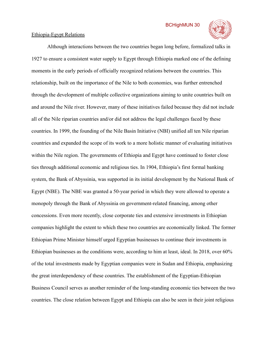

#### Ethiopia-Egypt Relations

Although interactions between the two countries began long before, formalized talks in 1927 to ensure a consistent water supply to Egypt through Ethiopia marked one of the defining moments in the early periods of officially recognized relations between the countries. This relationship, built on the importance of the Nile to both economies, was further entrenched through the development of multiple collective organizations aiming to unite countries built on and around the Nile river. However, many of these initiatives failed because they did not include all of the Nile riparian countries and/or did not address the legal challenges faced by these countries. In 1999, the founding of the Nile Basin Initiative (NBI) unified all ten Nile riparian countries and expanded the scope of its work to a more holistic manner of evaluating initiatives within the Nile region. The governments of Ethiopia and Egypt have continued to foster close ties through additional economic and religious ties. In 1904, Ethiopia's first formal banking system, the Bank of Abyssinia, was supported in its initial development by the National Bank of Egypt (NBE). The NBE was granted a 50-year period in which they were allowed to operate a monopoly through the Bank of Abyssinia on government-related financing, among other concessions. Even more recently, close corporate ties and extensive investments in Ethiopian companies highlight the extent to which these two countries are economically linked. The former Ethiopian Prime Minister himself urged Egyptian businesses to continue their investments in Ethiopian businesses as the conditions were, according to him at least, ideal. In 2018, over 60% of the total investments made by Egyptian companies were in Sudan and Ethiopia, emphasizing the great interdependency of these countries. The establishment of the Egyptian-Ethiopian Business Council serves as another reminder of the long-standing economic ties between the two countries. The close relation between Egypt and Ethiopia can also be seen in their joint religious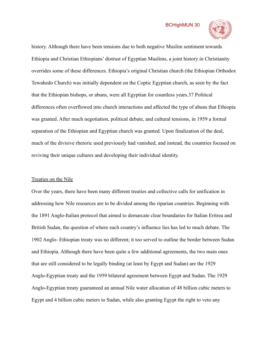

history. Although there have been tensions due to both negative Muslim sentiment towards Ethiopia and Christian Ethiopians' distrust of Egyptian Muslims, a joint history in Christianity overrides some of these differences. Ethiopia's original Christian church (the Ethiopian Orthodox Tewahedo Church) was initially dependent on the Coptic Egyptian church, as seen by the fact that the Ethiopian bishops, or abuns, were all Egyptian for countless years.37 Political differences often overflowed into church interactions and affected the type of abuns that Ethiopia was granted. After much negotiation, political debate, and cultural tensions, in 1959 a formal separation of the Ethiopian and Egyptian church was granted. Upon finalization of the deal, much of the divisive rhetoric used previously had vanished, and instead, the countries focused on reviving their unique cultures and developing their individual identity.

#### Treaties on the Nile

Over the years, there have been many different treaties and collective calls for unification in addressing how Nile resources are to be divided among the riparian countries. Beginning with the 1891 Anglo-Italian protocol that aimed to demarcate clear boundaries for Italian Eritrea and British Sudan, the question of where each country's influence lies has led to much debate. The 1902 Anglo- Ethiopian treaty was no different; it too served to outline the border between Sudan and Ethiopia. Although there have been quite a few additional agreements, the two main ones that are still considered to be legally binding (at least by Egypt and Sudan) are the 1929 Anglo-Egyptian treaty and the 1959 bilateral agreement between Egypt and Sudan. The 1929 Anglo-Egyptian treaty guaranteed an annual Nile water allocation of 48 billion cubic meters to Egypt and 4 billion cubic meters to Sudan, while also granting Egypt the right to veto any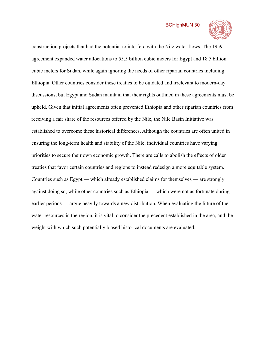

construction projects that had the potential to interfere with the Nile water flows. The 1959 agreement expanded water allocations to 55.5 billion cubic meters for Egypt and 18.5 billion cubic meters for Sudan, while again ignoring the needs of other riparian countries including Ethiopia. Other countries consider these treaties to be outdated and irrelevant to modern-day discussions, but Egypt and Sudan maintain that their rights outlined in these agreements must be upheld. Given that initial agreements often prevented Ethiopia and other riparian countries from receiving a fair share of the resources offered by the Nile, the Nile Basin Initiative was established to overcome these historical differences. Although the countries are often united in ensuring the long-term health and stability of the Nile, individual countries have varying priorities to secure their own economic growth. There are calls to abolish the effects of older treaties that favor certain countries and regions to instead redesign a more equitable system. Countries such as Egypt — which already established claims for themselves — are strongly against doing so, while other countries such as Ethiopia — which were not as fortunate during earlier periods — argue heavily towards a new distribution. When evaluating the future of the water resources in the region, it is vital to consider the precedent established in the area, and the weight with which such potentially biased historical documents are evaluated.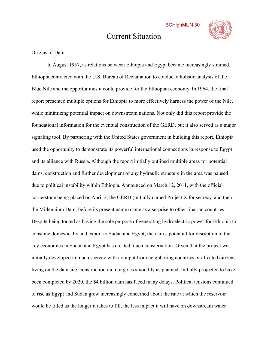## Current Situation



#### <span id="page-11-0"></span>Origins of Dam

In August 1957, as relations between Ethiopia and Egypt became increasingly strained, Ethiopia contracted with the U.S. Bureau of Reclamation to conduct a holistic analysis of the Blue Nile and the opportunities it could provide for the Ethiopian economy. In 1964, the final report presented multiple options for Ethiopia to more effectively harness the power of the Nile, while minimizing potential impact on downstream nations. Not only did this report provide the foundational information for the eventual construction of the GERD, but it also served as a major signaling tool. By partnering with the United States government in building this report, Ethiopia used the opportunity to demonstrate its powerful international connections in response to Egypt and its alliance with Russia. Although the report initially outlined multiple areas for potential dams, construction and further development of any hydraulic structure in the area was paused due to political instability within Ethiopia. Announced on March 12, 2011, with the official cornerstone being placed on April 2, the GERD (initially named Project X for secrecy, and then the Millennium Dam, before its present name) came as a surprise to other riparian countries. Despite being touted as having the sole purpose of generating hydroelectric power for Ethiopia to consume domestically and export to Sudan and Egypt, the dam's potential for disruption to the key economics in Sudan and Egypt has created much consternation. Given that the project was initially developed in much secrecy with no input from neighboring countries or affected citizens living on the dam site, construction did not go as smoothly as planned. Initially projected to have been completed by 2020, the \$4 billion dam has faced many delays. Political tensions continued to rise as Egypt and Sudan grew increasingly concerned about the rate at which the reservoir would be filled as the longer it takes to fill, the less impact it will have on downstream water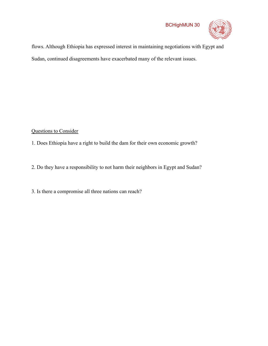

flows. Although Ethiopia has expressed interest in maintaining negotiations with Egypt and Sudan, continued disagreements have exacerbated many of the relevant issues.

#### <span id="page-12-0"></span>Questions to Consider

1. Does Ethiopia have a right to build the dam for their own economic growth?

2. Do they have a responsibility to not harm their neighbors in Egypt and Sudan?

3. Is there a compromise all three nations can reach?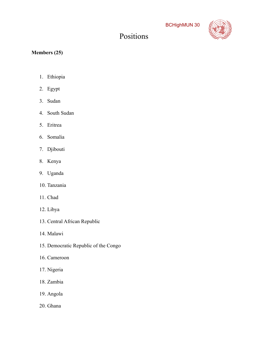## Positions



#### <span id="page-13-0"></span>**Members (25)**

- 1. Ethiopia
- 2. Egypt
- 3. Sudan
- 4. South Sudan
- 5. Eritrea
- 6. Somalia
- 7. Djibouti
- 8. Kenya
- 9. Uganda
- 10. Tanzania
- 11. Chad
- 12. Libya
- 13. Central African Republic
- 14. Malawi
- 15. Democratic Republic of the Congo
- 16. Cameroon
- 17. Nigeria
- 18. Zambia
- 19. Angola
- 20. Ghana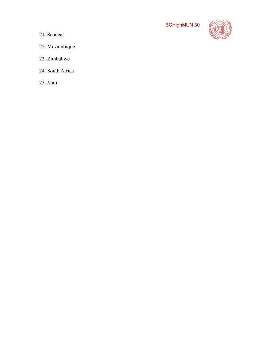

- 21. Senegal
- 22. Mozambique
- 23. Zimbabwe
- 24. South Africa
- 25. Mali